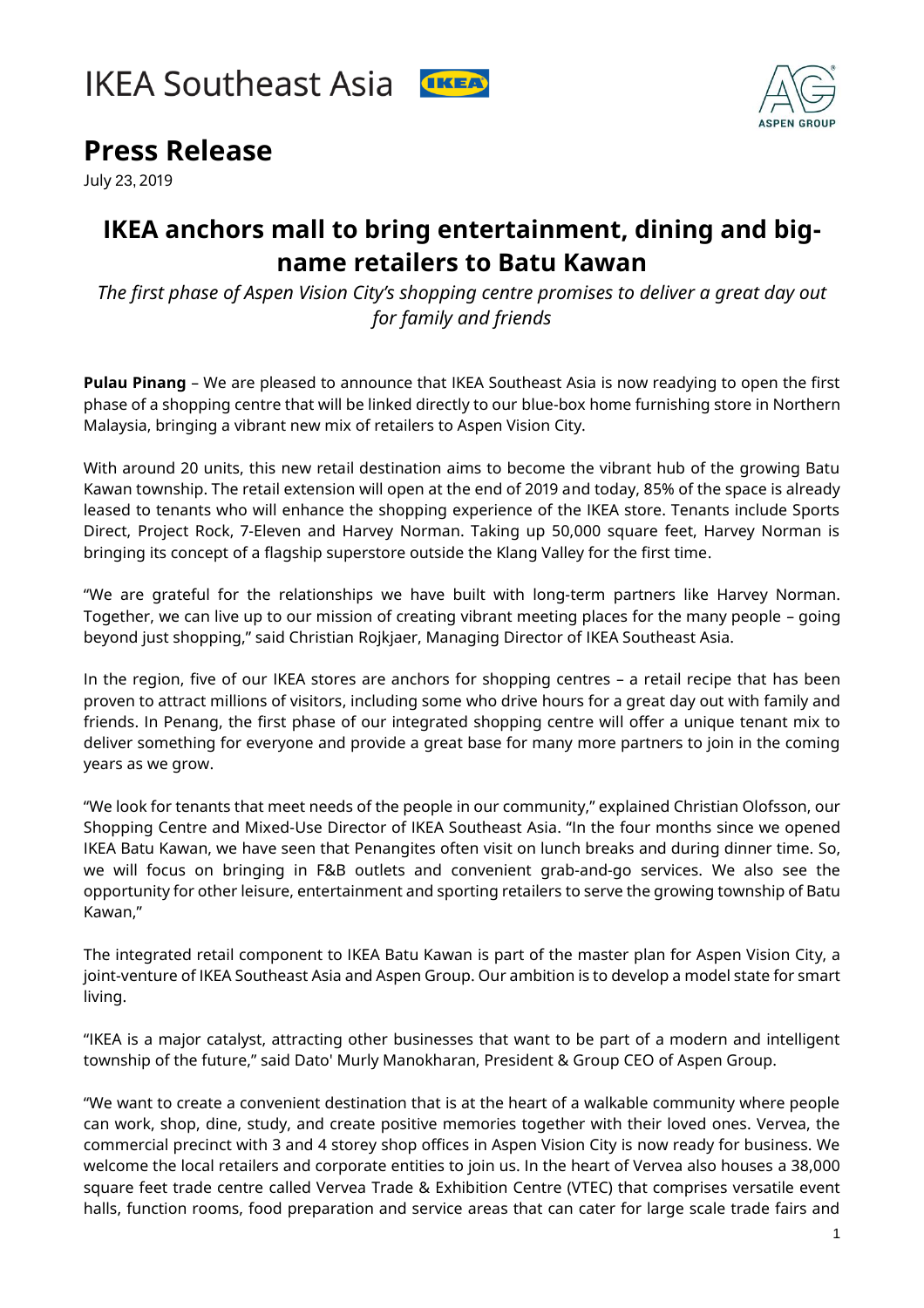



## **Press Release**

July 23, 2019

## **IKEA anchors mall to bring entertainment, dining and bigname retailers to Batu Kawan**

*The first phase of Aspen Vision City's shopping centre promises to deliver a great day out for family and friends*

**Pulau Pinang** – We are pleased to announce that IKEA Southeast Asia is now readying to open the first phase of a shopping centre that will be linked directly to our blue-box home furnishing store in Northern Malaysia, bringing a vibrant new mix of retailers to Aspen Vision City.

With around 20 units, this new retail destination aims to become the vibrant hub of the growing Batu Kawan township. The retail extension will open at the end of 2019 and today, 85% of the space is already leased to tenants who will enhance the shopping experience of the IKEA store. Tenants include Sports Direct, Project Rock, 7-Eleven and Harvey Norman. Taking up 50,000 square feet, Harvey Norman is bringing its concept of a flagship superstore outside the Klang Valley for the first time.

"We are grateful for the relationships we have built with long-term partners like Harvey Norman. Together, we can live up to our mission of creating vibrant meeting places for the many people – going beyond just shopping," said Christian Rojkjaer, Managing Director of IKEA Southeast Asia.

In the region, five of our IKEA stores are anchors for shopping centres – a retail recipe that has been proven to attract millions of visitors, including some who drive hours for a great day out with family and friends. In Penang, the first phase of our integrated shopping centre will offer a unique tenant mix to deliver something for everyone and provide a great base for many more partners to join in the coming years as we grow.

"We look for tenants that meet needs of the people in our community," explained Christian Olofsson, our Shopping Centre and Mixed-Use Director of IKEA Southeast Asia. "In the four months since we opened IKEA Batu Kawan, we have seen that Penangites often visit on lunch breaks and during dinner time. So, we will focus on bringing in F&B outlets and convenient grab-and-go services. We also see the opportunity for other leisure, entertainment and sporting retailers to serve the growing township of Batu Kawan,"

The integrated retail component to IKEA Batu Kawan is part of the master plan for Aspen Vision City, a joint-venture of IKEA Southeast Asia and Aspen Group. Our ambition is to develop a model state for smart living.

"IKEA is a major catalyst, attracting other businesses that want to be part of a modern and intelligent township of the future," said Dato' Murly Manokharan, President & Group CEO of Aspen Group.

"We want to create a convenient destination that is at the heart of a walkable community where people can work, shop, dine, study, and create positive memories together with their loved ones. Vervea, the commercial precinct with 3 and 4 storey shop offices in Aspen Vision City is now ready for business. We welcome the local retailers and corporate entities to join us. In the heart of Vervea also houses a 38,000 square feet trade centre called Vervea Trade & Exhibition Centre (VTEC) that comprises versatile event halls, function rooms, food preparation and service areas that can cater for large scale trade fairs and